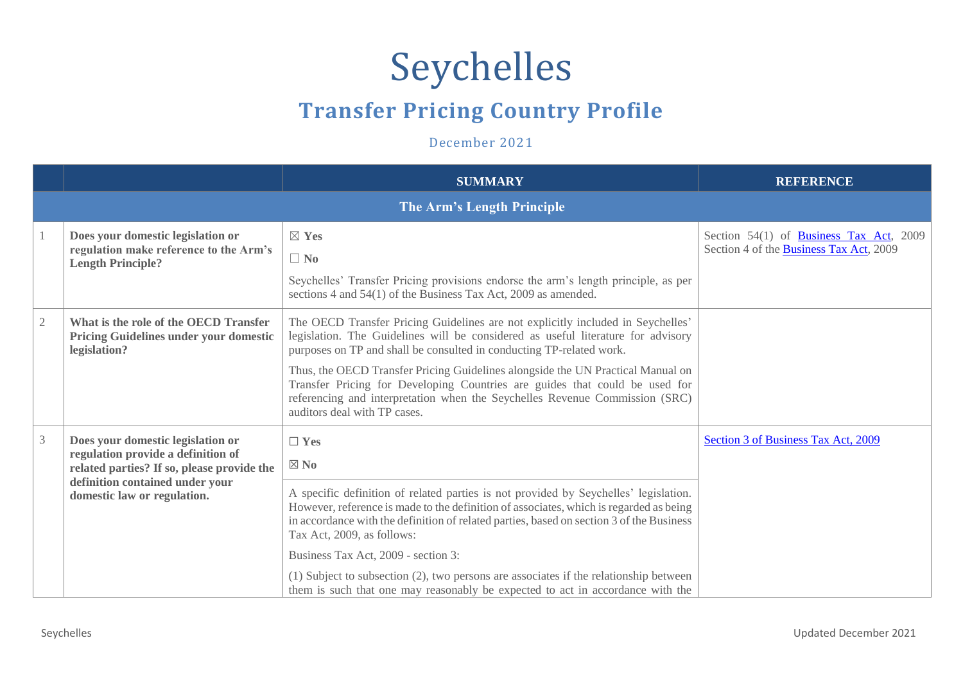## Seychelles

## **Transfer Pricing Country Profile**

December 2021

|                |                                                                                                                                                                                         | <b>SUMMARY</b>                                                                                                                                                                                                                                                                                                                                                                                                                                                                                                                                             | <b>REFERENCE</b>                                                                   |
|----------------|-----------------------------------------------------------------------------------------------------------------------------------------------------------------------------------------|------------------------------------------------------------------------------------------------------------------------------------------------------------------------------------------------------------------------------------------------------------------------------------------------------------------------------------------------------------------------------------------------------------------------------------------------------------------------------------------------------------------------------------------------------------|------------------------------------------------------------------------------------|
|                |                                                                                                                                                                                         | The Arm's Length Principle                                                                                                                                                                                                                                                                                                                                                                                                                                                                                                                                 |                                                                                    |
|                | Does your domestic legislation or<br>regulation make reference to the Arm's<br><b>Length Principle?</b>                                                                                 | $\boxtimes$ Yes<br>$\Box$ No<br>Seychelles' Transfer Pricing provisions endorse the arm's length principle, as per<br>sections 4 and 54(1) of the Business Tax Act, 2009 as amended.                                                                                                                                                                                                                                                                                                                                                                       | Section 54(1) of Business Tax Act, 2009<br>Section 4 of the Business Tax Act, 2009 |
| $\mathfrak{2}$ | What is the role of the OECD Transfer<br><b>Pricing Guidelines under your domestic</b><br>legislation?                                                                                  | The OECD Transfer Pricing Guidelines are not explicitly included in Seychelles'<br>legislation. The Guidelines will be considered as useful literature for advisory<br>purposes on TP and shall be consulted in conducting TP-related work.<br>Thus, the OECD Transfer Pricing Guidelines alongside the UN Practical Manual on<br>Transfer Pricing for Developing Countries are guides that could be used for<br>referencing and interpretation when the Seychelles Revenue Commission (SRC)<br>auditors deal with TP cases.                               |                                                                                    |
| $\overline{3}$ | Does your domestic legislation or<br>regulation provide a definition of<br>related parties? If so, please provide the<br>definition contained under your<br>domestic law or regulation. | $\Box$ Yes<br>$\boxtimes$ No<br>A specific definition of related parties is not provided by Seychelles' legislation.<br>However, reference is made to the definition of associates, which is regarded as being<br>in accordance with the definition of related parties, based on section 3 of the Business<br>Tax Act, 2009, as follows:<br>Business Tax Act, 2009 - section 3:<br>(1) Subject to subsection (2), two persons are associates if the relationship between<br>them is such that one may reasonably be expected to act in accordance with the | Section 3 of Business Tax Act, 2009                                                |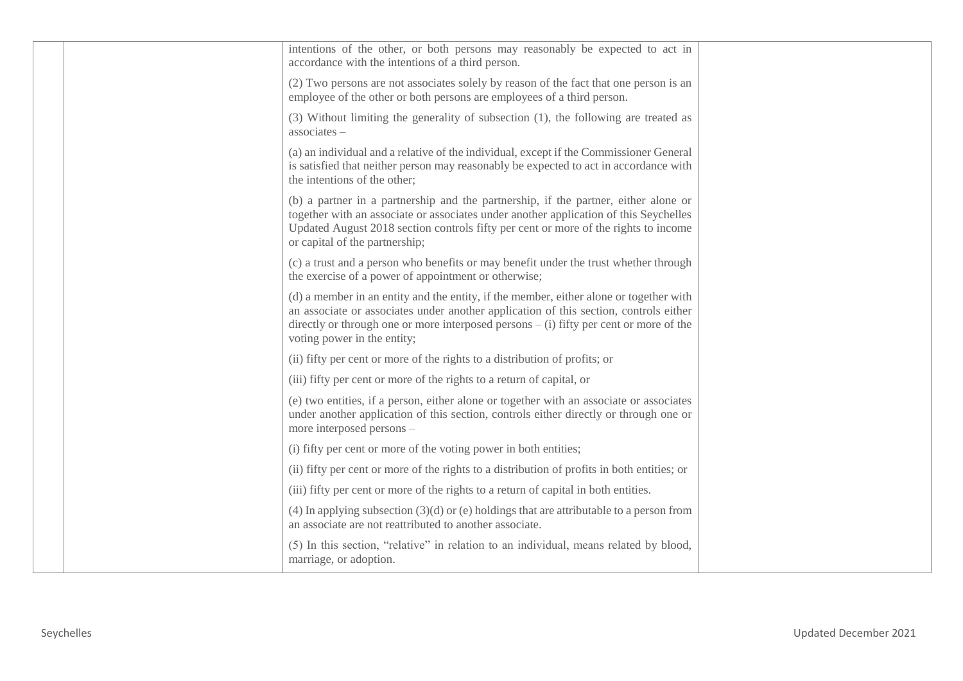|  | intentions of the other, or both persons may reasonably be expected to act in<br>accordance with the intentions of a third person.                                                                                                                                                                         |  |
|--|------------------------------------------------------------------------------------------------------------------------------------------------------------------------------------------------------------------------------------------------------------------------------------------------------------|--|
|  | (2) Two persons are not associates solely by reason of the fact that one person is an<br>employee of the other or both persons are employees of a third person.                                                                                                                                            |  |
|  | (3) Without limiting the generality of subsection (1), the following are treated as<br>associates-                                                                                                                                                                                                         |  |
|  | (a) an individual and a relative of the individual, except if the Commissioner General<br>is satisfied that neither person may reasonably be expected to act in accordance with<br>the intentions of the other;                                                                                            |  |
|  | (b) a partner in a partnership and the partnership, if the partner, either alone or<br>together with an associate or associates under another application of this Seychelles<br>Updated August 2018 section controls fifty per cent or more of the rights to income<br>or capital of the partnership;      |  |
|  | (c) a trust and a person who benefits or may benefit under the trust whether through<br>the exercise of a power of appointment or otherwise;                                                                                                                                                               |  |
|  | (d) a member in an entity and the entity, if the member, either alone or together with<br>an associate or associates under another application of this section, controls either<br>directly or through one or more interposed persons $-$ (i) fifty per cent or more of the<br>voting power in the entity; |  |
|  | (ii) fifty per cent or more of the rights to a distribution of profits; or                                                                                                                                                                                                                                 |  |
|  | (iii) fifty per cent or more of the rights to a return of capital, or                                                                                                                                                                                                                                      |  |
|  | (e) two entities, if a person, either alone or together with an associate or associates<br>under another application of this section, controls either directly or through one or<br>more interposed persons -                                                                                              |  |
|  | (i) fifty per cent or more of the voting power in both entities;                                                                                                                                                                                                                                           |  |
|  | (ii) fifty per cent or more of the rights to a distribution of profits in both entities; or                                                                                                                                                                                                                |  |
|  | (iii) fifty per cent or more of the rights to a return of capital in both entities.                                                                                                                                                                                                                        |  |
|  | (4) In applying subsection $(3)(d)$ or (e) holdings that are attributable to a person from<br>an associate are not reattributed to another associate.                                                                                                                                                      |  |
|  | (5) In this section, "relative" in relation to an individual, means related by blood,<br>marriage, or adoption.                                                                                                                                                                                            |  |
|  |                                                                                                                                                                                                                                                                                                            |  |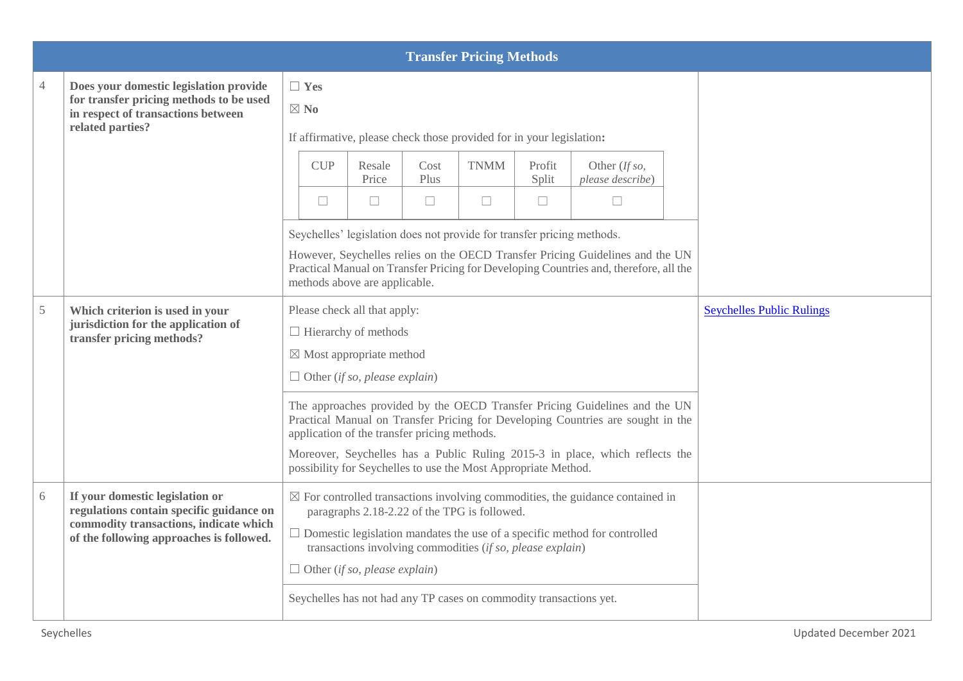|               |                                                                                                                                                                   |                              |                                                                                                                                                                                            |                        | <b>Transfer Pricing Methods</b>                                                                                                                                                  |                           |                                                                                                                                                                                                                                               |                                  |
|---------------|-------------------------------------------------------------------------------------------------------------------------------------------------------------------|------------------------------|--------------------------------------------------------------------------------------------------------------------------------------------------------------------------------------------|------------------------|----------------------------------------------------------------------------------------------------------------------------------------------------------------------------------|---------------------------|-----------------------------------------------------------------------------------------------------------------------------------------------------------------------------------------------------------------------------------------------|----------------------------------|
| 4             | Does your domestic legislation provide<br>for transfer pricing methods to be used<br>in respect of transactions between<br>related parties?                       | $\Box$ Yes<br>$\boxtimes$ No |                                                                                                                                                                                            |                        | If affirmative, please check those provided for in your legislation:                                                                                                             |                           |                                                                                                                                                                                                                                               |                                  |
|               |                                                                                                                                                                   | <b>CUP</b><br>$\Box$         | Resale<br>Price<br>$\Box$                                                                                                                                                                  | Cost<br>Plus<br>$\Box$ | <b>TNMM</b><br>$\Box$                                                                                                                                                            | Profit<br>Split<br>$\Box$ | Other (If so,<br>please describe)<br>$\Box$                                                                                                                                                                                                   |                                  |
|               |                                                                                                                                                                   |                              | methods above are applicable.                                                                                                                                                              |                        | Seychelles' legislation does not provide for transfer pricing methods.                                                                                                           |                           | However, Seychelles relies on the OECD Transfer Pricing Guidelines and the UN<br>Practical Manual on Transfer Pricing for Developing Countries and, therefore, all the                                                                        |                                  |
| $\mathfrak s$ | Which criterion is used in your<br>jurisdiction for the application of<br>transfer pricing methods?                                                               |                              | Please check all that apply:<br>$\Box$ Hierarchy of methods<br>$\boxtimes$ Most appropriate method<br>$\Box$ Other (if so, please explain)<br>application of the transfer pricing methods. |                        | possibility for Seychelles to use the Most Appropriate Method.                                                                                                                   |                           | The approaches provided by the OECD Transfer Pricing Guidelines and the UN<br>Practical Manual on Transfer Pricing for Developing Countries are sought in the<br>Moreover, Seychelles has a Public Ruling 2015-3 in place, which reflects the | <b>Seychelles Public Rulings</b> |
| 6             | If your domestic legislation or<br>regulations contain specific guidance on<br>commodity transactions, indicate which<br>of the following approaches is followed. |                              | $\Box$ Other (if so, please explain)                                                                                                                                                       |                        | paragraphs 2.18-2.22 of the TPG is followed.<br>transactions involving commodities (if so, please explain)<br>Seychelles has not had any TP cases on commodity transactions yet. |                           | $\boxtimes$ For controlled transactions involving commodities, the guidance contained in<br>$\Box$ Domestic legislation mandates the use of a specific method for controlled                                                                  |                                  |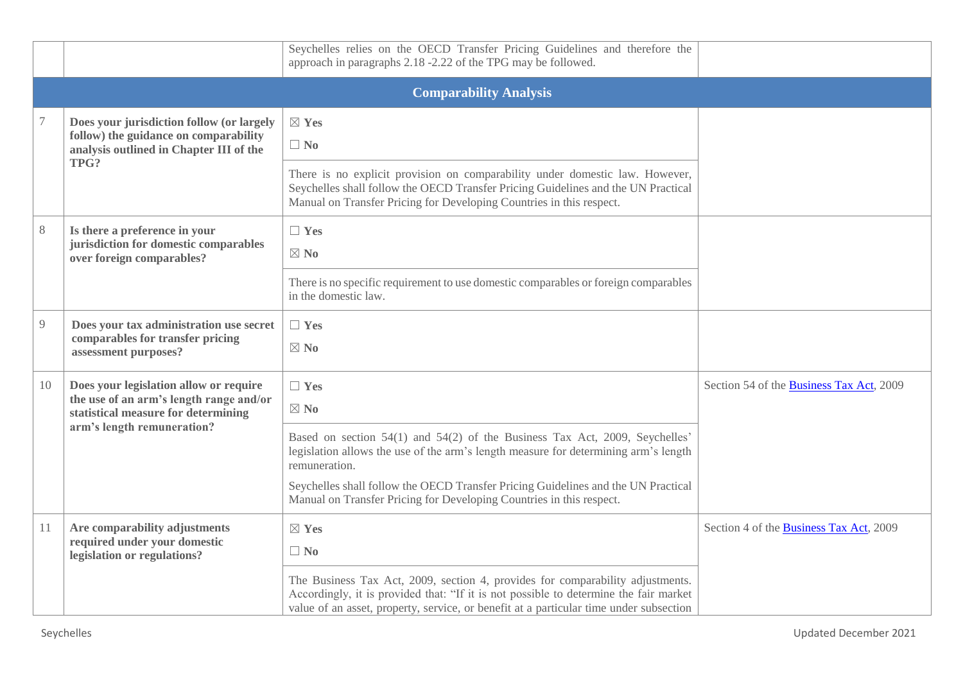|    |                                                                                                                                                        | Seychelles relies on the OECD Transfer Pricing Guidelines and therefore the<br>approach in paragraphs 2.18 -2.22 of the TPG may be followed.                                                                                                                                                                                                                                     |                                          |
|----|--------------------------------------------------------------------------------------------------------------------------------------------------------|----------------------------------------------------------------------------------------------------------------------------------------------------------------------------------------------------------------------------------------------------------------------------------------------------------------------------------------------------------------------------------|------------------------------------------|
|    |                                                                                                                                                        | <b>Comparability Analysis</b>                                                                                                                                                                                                                                                                                                                                                    |                                          |
|    | Does your jurisdiction follow (or largely<br>follow) the guidance on comparability<br>analysis outlined in Chapter III of the<br>TPG?                  | $\boxtimes$ Yes<br>$\Box$ No<br>There is no explicit provision on comparability under domestic law. However,<br>Seychelles shall follow the OECD Transfer Pricing Guidelines and the UN Practical<br>Manual on Transfer Pricing for Developing Countries in this respect.                                                                                                        |                                          |
| 8  | Is there a preference in your<br>jurisdiction for domestic comparables<br>over foreign comparables?                                                    | $\Box$ Yes<br>$\boxtimes$ No<br>There is no specific requirement to use domestic comparables or foreign comparables<br>in the domestic law.                                                                                                                                                                                                                                      |                                          |
| 9  | Does your tax administration use secret<br>comparables for transfer pricing<br>assessment purposes?                                                    | $\Box$ Yes<br>$\boxtimes$ No                                                                                                                                                                                                                                                                                                                                                     |                                          |
| 10 | Does your legislation allow or require<br>the use of an arm's length range and/or<br>statistical measure for determining<br>arm's length remuneration? | $\Box$ Yes<br>$\boxtimes$ No<br>Based on section 54(1) and 54(2) of the Business Tax Act, 2009, Seychelles'<br>legislation allows the use of the arm's length measure for determining arm's length<br>remuneration.<br>Seychelles shall follow the OECD Transfer Pricing Guidelines and the UN Practical<br>Manual on Transfer Pricing for Developing Countries in this respect. | Section 54 of the Business Tax Act, 2009 |
| 11 | Are comparability adjustments<br>required under your domestic<br>legislation or regulations?                                                           | $\boxtimes$ Yes<br>$\Box$ No<br>The Business Tax Act, 2009, section 4, provides for comparability adjustments.<br>Accordingly, it is provided that: "If it is not possible to determine the fair market<br>value of an asset, property, service, or benefit at a particular time under subsection                                                                                | Section 4 of the Business Tax Act, 2009  |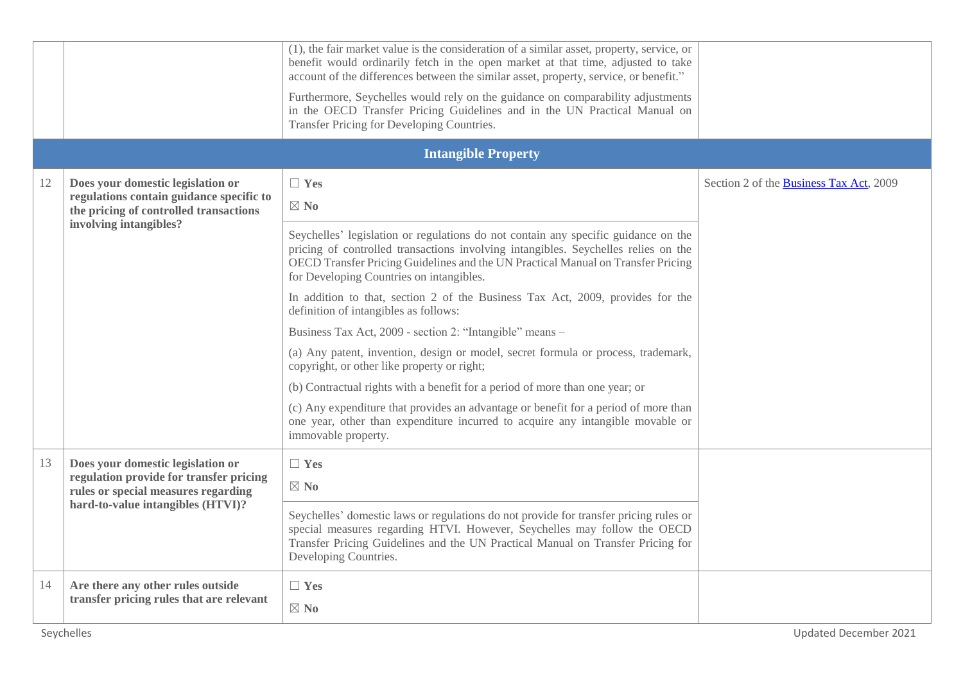|    |                                                                                    | (1), the fair market value is the consideration of a similar asset, property, service, or<br>benefit would ordinarily fetch in the open market at that time, adjusted to take<br>account of the differences between the similar asset, property, service, or benefit."<br>Furthermore, Seychelles would rely on the guidance on comparability adjustments<br>in the OECD Transfer Pricing Guidelines and in the UN Practical Manual on<br>Transfer Pricing for Developing Countries. |                                         |
|----|------------------------------------------------------------------------------------|--------------------------------------------------------------------------------------------------------------------------------------------------------------------------------------------------------------------------------------------------------------------------------------------------------------------------------------------------------------------------------------------------------------------------------------------------------------------------------------|-----------------------------------------|
|    |                                                                                    | <b>Intangible Property</b>                                                                                                                                                                                                                                                                                                                                                                                                                                                           |                                         |
| 12 | Does your domestic legislation or                                                  | $\Box$ Yes                                                                                                                                                                                                                                                                                                                                                                                                                                                                           | Section 2 of the Business Tax Act, 2009 |
|    | regulations contain guidance specific to<br>the pricing of controlled transactions | $\boxtimes$ No                                                                                                                                                                                                                                                                                                                                                                                                                                                                       |                                         |
|    | involving intangibles?                                                             | Seychelles' legislation or regulations do not contain any specific guidance on the<br>pricing of controlled transactions involving intangibles. Seychelles relies on the<br>OECD Transfer Pricing Guidelines and the UN Practical Manual on Transfer Pricing<br>for Developing Countries on intangibles.                                                                                                                                                                             |                                         |
|    |                                                                                    | In addition to that, section 2 of the Business Tax Act, 2009, provides for the<br>definition of intangibles as follows:                                                                                                                                                                                                                                                                                                                                                              |                                         |
|    |                                                                                    | Business Tax Act, 2009 - section 2: "Intangible" means -                                                                                                                                                                                                                                                                                                                                                                                                                             |                                         |
|    |                                                                                    | (a) Any patent, invention, design or model, secret formula or process, trademark,<br>copyright, or other like property or right;                                                                                                                                                                                                                                                                                                                                                     |                                         |
|    |                                                                                    | (b) Contractual rights with a benefit for a period of more than one year; or                                                                                                                                                                                                                                                                                                                                                                                                         |                                         |
|    |                                                                                    | (c) Any expenditure that provides an advantage or benefit for a period of more than<br>one year, other than expenditure incurred to acquire any intangible movable or<br>immovable property.                                                                                                                                                                                                                                                                                         |                                         |
| 13 | Does your domestic legislation or                                                  | $\Box$ Yes                                                                                                                                                                                                                                                                                                                                                                                                                                                                           |                                         |
|    | regulation provide for transfer pricing<br>rules or special measures regarding     | $\boxtimes$ No                                                                                                                                                                                                                                                                                                                                                                                                                                                                       |                                         |
|    | hard-to-value intangibles (HTVI)?                                                  | Seychelles' domestic laws or regulations do not provide for transfer pricing rules or<br>special measures regarding HTVI. However, Seychelles may follow the OECD<br>Transfer Pricing Guidelines and the UN Practical Manual on Transfer Pricing for<br>Developing Countries.                                                                                                                                                                                                        |                                         |
| 14 | Are there any other rules outside                                                  | $\Box$ Yes                                                                                                                                                                                                                                                                                                                                                                                                                                                                           |                                         |
|    | transfer pricing rules that are relevant                                           | $\boxtimes$ No                                                                                                                                                                                                                                                                                                                                                                                                                                                                       |                                         |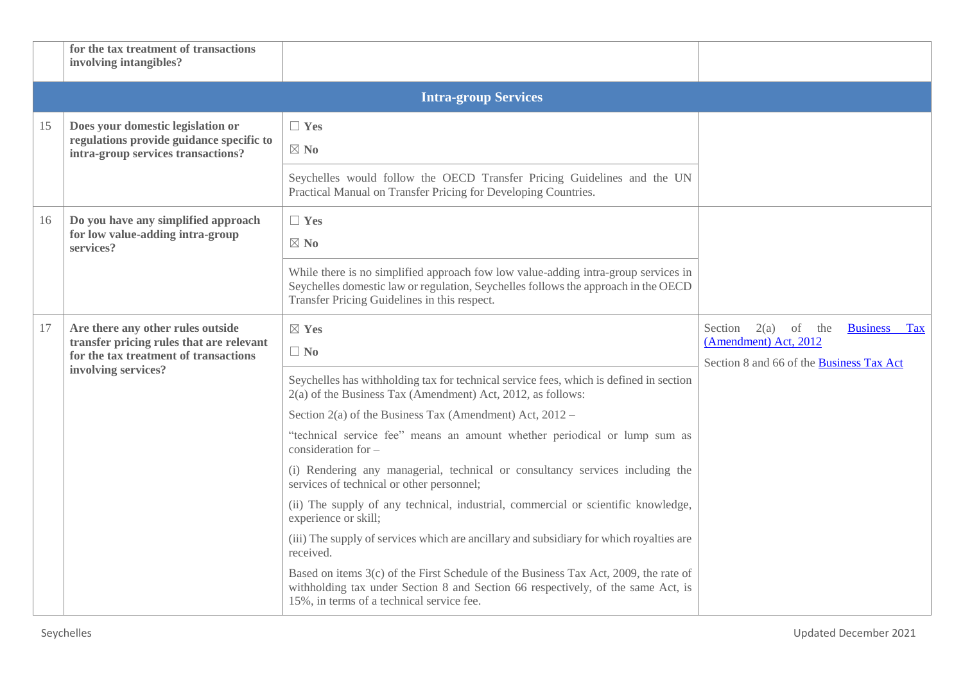|    | for the tax treatment of transactions<br>involving intangibles?                                                                               |                                                                                                                                                                                                                          |                                                                                                                   |
|----|-----------------------------------------------------------------------------------------------------------------------------------------------|--------------------------------------------------------------------------------------------------------------------------------------------------------------------------------------------------------------------------|-------------------------------------------------------------------------------------------------------------------|
|    |                                                                                                                                               | <b>Intra-group Services</b>                                                                                                                                                                                              |                                                                                                                   |
| 15 | Does your domestic legislation or<br>regulations provide guidance specific to<br>intra-group services transactions?                           | $\Box$ Yes<br>$\boxtimes$ No<br>Seychelles would follow the OECD Transfer Pricing Guidelines and the UN                                                                                                                  |                                                                                                                   |
|    |                                                                                                                                               | Practical Manual on Transfer Pricing for Developing Countries.                                                                                                                                                           |                                                                                                                   |
| 16 | Do you have any simplified approach<br>for low value-adding intra-group<br>services?                                                          | $\Box$ Yes<br>$\boxtimes$ No                                                                                                                                                                                             |                                                                                                                   |
|    |                                                                                                                                               | While there is no simplified approach fow low value-adding intra-group services in<br>Seychelles domestic law or regulation, Seychelles follows the approach in the OECD<br>Transfer Pricing Guidelines in this respect. |                                                                                                                   |
| 17 | Are there any other rules outside<br>transfer pricing rules that are relevant<br>for the tax treatment of transactions<br>involving services? | $\boxtimes$ Yes<br>$\Box$ No                                                                                                                                                                                             | Section $2(a)$ of the<br><b>Business</b> Tax<br>(Amendment) Act, 2012<br>Section 8 and 66 of the Business Tax Act |
|    |                                                                                                                                               | Seychelles has withholding tax for technical service fees, which is defined in section<br>2(a) of the Business Tax (Amendment) Act, 2012, as follows:                                                                    |                                                                                                                   |
|    |                                                                                                                                               | Section $2(a)$ of the Business Tax (Amendment) Act, $2012 -$                                                                                                                                                             |                                                                                                                   |
|    |                                                                                                                                               | "technical service fee" means an amount whether periodical or lump sum as<br>consideration for $-$                                                                                                                       |                                                                                                                   |
|    |                                                                                                                                               | (i) Rendering any managerial, technical or consultancy services including the<br>services of technical or other personnel;                                                                                               |                                                                                                                   |
|    |                                                                                                                                               | (ii) The supply of any technical, industrial, commercial or scientific knowledge,<br>experience or skill;                                                                                                                |                                                                                                                   |
|    |                                                                                                                                               | (iii) The supply of services which are ancillary and subsidiary for which royalties are<br>received.                                                                                                                     |                                                                                                                   |
|    |                                                                                                                                               | Based on items 3(c) of the First Schedule of the Business Tax Act, 2009, the rate of<br>withholding tax under Section 8 and Section 66 respectively, of the same Act, is<br>15%, in terms of a technical service fee.    |                                                                                                                   |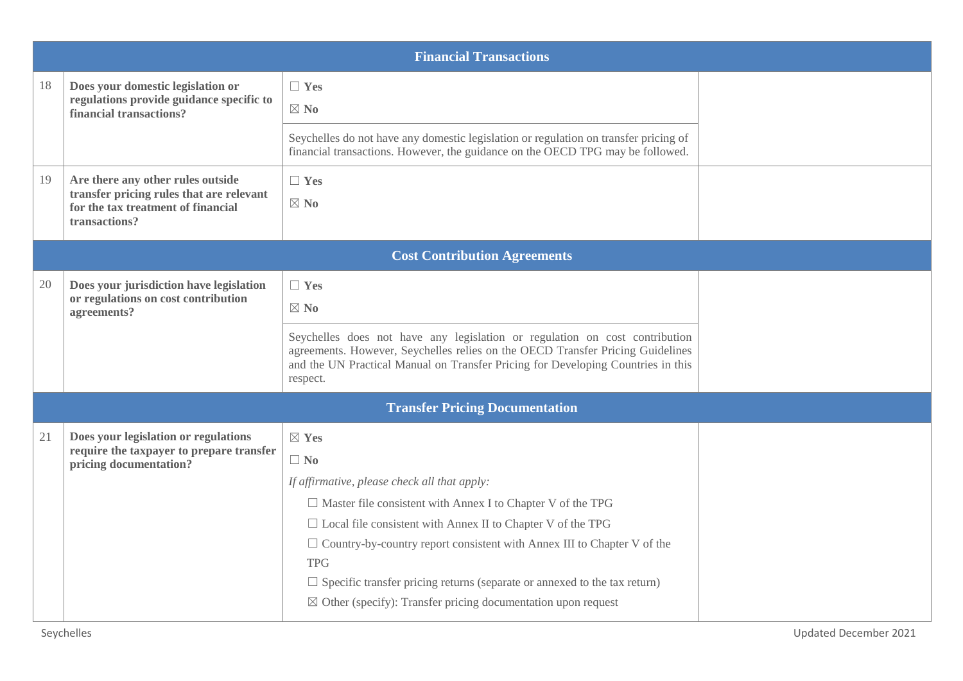| 18 | Does your domestic legislation or<br>regulations provide guidance specific to                   | $\Box$ Yes                                                                                                                                                                                                                                                    |  |
|----|-------------------------------------------------------------------------------------------------|---------------------------------------------------------------------------------------------------------------------------------------------------------------------------------------------------------------------------------------------------------------|--|
|    | financial transactions?                                                                         | $\boxtimes$ No                                                                                                                                                                                                                                                |  |
|    |                                                                                                 | Seychelles do not have any domestic legislation or regulation on transfer pricing of<br>financial transactions. However, the guidance on the OECD TPG may be followed.                                                                                        |  |
| 19 | Are there any other rules outside                                                               | $\Box$ Yes                                                                                                                                                                                                                                                    |  |
|    | transfer pricing rules that are relevant<br>for the tax treatment of financial<br>transactions? | $\boxtimes$ No                                                                                                                                                                                                                                                |  |
|    |                                                                                                 | <b>Cost Contribution Agreements</b>                                                                                                                                                                                                                           |  |
| 20 | Does your jurisdiction have legislation                                                         | $\Box$ Yes                                                                                                                                                                                                                                                    |  |
|    | or regulations on cost contribution<br>agreements?                                              | $\boxtimes$ No                                                                                                                                                                                                                                                |  |
|    |                                                                                                 | Seychelles does not have any legislation or regulation on cost contribution<br>agreements. However, Seychelles relies on the OECD Transfer Pricing Guidelines<br>and the UN Practical Manual on Transfer Pricing for Developing Countries in this<br>respect. |  |
|    |                                                                                                 | <b>Transfer Pricing Documentation</b>                                                                                                                                                                                                                         |  |
| 21 | Does your legislation or regulations                                                            | $\boxtimes$ Yes                                                                                                                                                                                                                                               |  |
|    | require the taxpayer to prepare transfer<br>pricing documentation?                              | $\Box$ No                                                                                                                                                                                                                                                     |  |
|    |                                                                                                 | If affirmative, please check all that apply:                                                                                                                                                                                                                  |  |
|    |                                                                                                 | $\Box$ Master file consistent with Annex I to Chapter V of the TPG                                                                                                                                                                                            |  |
|    |                                                                                                 | $\Box$ Local file consistent with Annex II to Chapter V of the TPG                                                                                                                                                                                            |  |
|    |                                                                                                 | $\Box$ Country-by-country report consistent with Annex III to Chapter V of the<br><b>TPG</b>                                                                                                                                                                  |  |
|    |                                                                                                 | $\Box$ Specific transfer pricing returns (separate or annexed to the tax return)                                                                                                                                                                              |  |
|    |                                                                                                 | $\boxtimes$ Other (specify): Transfer pricing documentation upon request                                                                                                                                                                                      |  |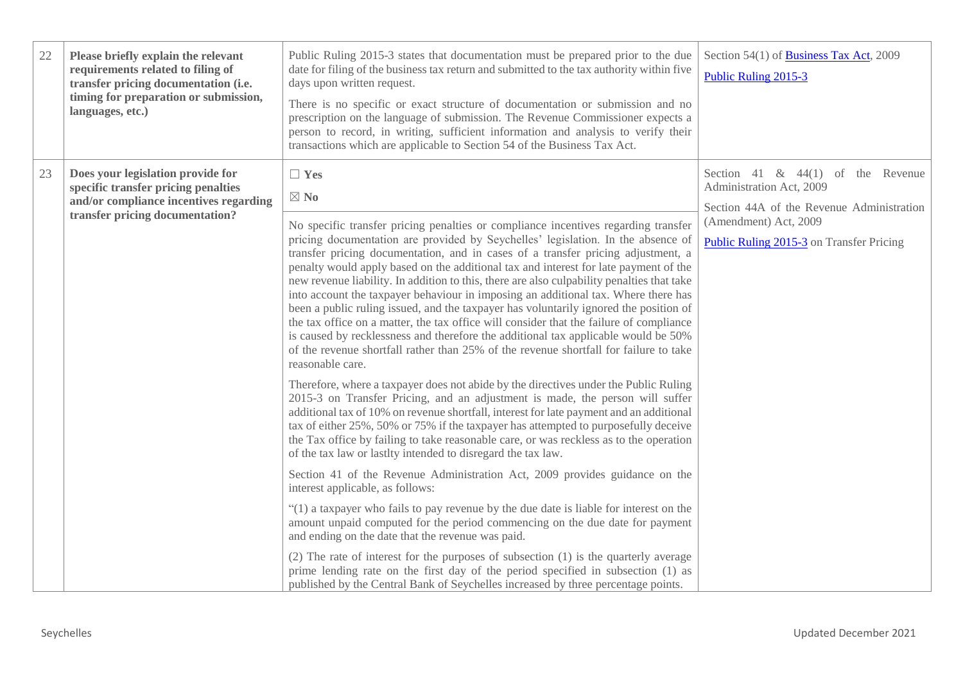| 22 | Please briefly explain the relevant<br>requirements related to filing of<br>transfer pricing documentation (i.e.<br>timing for preparation or submission,<br>languages, etc.) | Public Ruling 2015-3 states that documentation must be prepared prior to the due<br>date for filing of the business tax return and submitted to the tax authority within five<br>days upon written request.<br>There is no specific or exact structure of documentation or submission and no<br>prescription on the language of submission. The Revenue Commissioner expects a<br>person to record, in writing, sufficient information and analysis to verify their<br>transactions which are applicable to Section 54 of the Business Tax Act.                                                                                                                                                                                                                                                                                                                                                                                                                                                                                                                                                                                                                                                                                                                                                                                                                                                                                                                                                                                                                                                                                                                                                                                                                                                                                                                                                                                                                                                                                                                                                       | Section 54(1) of Business Tax Act, 2009<br>Public Ruling 2015-3                                                                                                                           |
|----|-------------------------------------------------------------------------------------------------------------------------------------------------------------------------------|-------------------------------------------------------------------------------------------------------------------------------------------------------------------------------------------------------------------------------------------------------------------------------------------------------------------------------------------------------------------------------------------------------------------------------------------------------------------------------------------------------------------------------------------------------------------------------------------------------------------------------------------------------------------------------------------------------------------------------------------------------------------------------------------------------------------------------------------------------------------------------------------------------------------------------------------------------------------------------------------------------------------------------------------------------------------------------------------------------------------------------------------------------------------------------------------------------------------------------------------------------------------------------------------------------------------------------------------------------------------------------------------------------------------------------------------------------------------------------------------------------------------------------------------------------------------------------------------------------------------------------------------------------------------------------------------------------------------------------------------------------------------------------------------------------------------------------------------------------------------------------------------------------------------------------------------------------------------------------------------------------------------------------------------------------------------------------------------------------|-------------------------------------------------------------------------------------------------------------------------------------------------------------------------------------------|
| 23 | Does your legislation provide for<br>specific transfer pricing penalties<br>and/or compliance incentives regarding<br>transfer pricing documentation?                         | $\Box$ Yes<br>$\boxtimes$ No<br>No specific transfer pricing penalties or compliance incentives regarding transfer<br>pricing documentation are provided by Seychelles' legislation. In the absence of<br>transfer pricing documentation, and in cases of a transfer pricing adjustment, a<br>penalty would apply based on the additional tax and interest for late payment of the<br>new revenue liability. In addition to this, there are also culpability penalties that take<br>into account the taxpayer behaviour in imposing an additional tax. Where there has<br>been a public ruling issued, and the taxpayer has voluntarily ignored the position of<br>the tax office on a matter, the tax office will consider that the failure of compliance<br>is caused by recklessness and therefore the additional tax applicable would be 50%<br>of the revenue shortfall rather than 25% of the revenue shortfall for failure to take<br>reasonable care.<br>Therefore, where a taxpayer does not abide by the directives under the Public Ruling<br>2015-3 on Transfer Pricing, and an adjustment is made, the person will suffer<br>additional tax of 10% on revenue shortfall, interest for late payment and an additional<br>tax of either 25%, 50% or 75% if the taxpayer has attempted to purposefully deceive<br>the Tax office by failing to take reasonable care, or was reckless as to the operation<br>of the tax law or lastlty intended to disregard the tax law.<br>Section 41 of the Revenue Administration Act, 2009 provides guidance on the<br>interest applicable, as follows:<br>"(1) a taxpayer who fails to pay revenue by the due date is liable for interest on the<br>amount unpaid computed for the period commencing on the due date for payment<br>and ending on the date that the revenue was paid.<br>(2) The rate of interest for the purposes of subsection (1) is the quarterly average<br>prime lending rate on the first day of the period specified in subsection (1) as<br>published by the Central Bank of Seychelles increased by three percentage points. | Section 41 $\&$ 44(1) of the Revenue<br>Administration Act, 2009<br>Section 44A of the Revenue Administration<br>(Amendment) Act, 2009<br><b>Public Ruling 2015-3</b> on Transfer Pricing |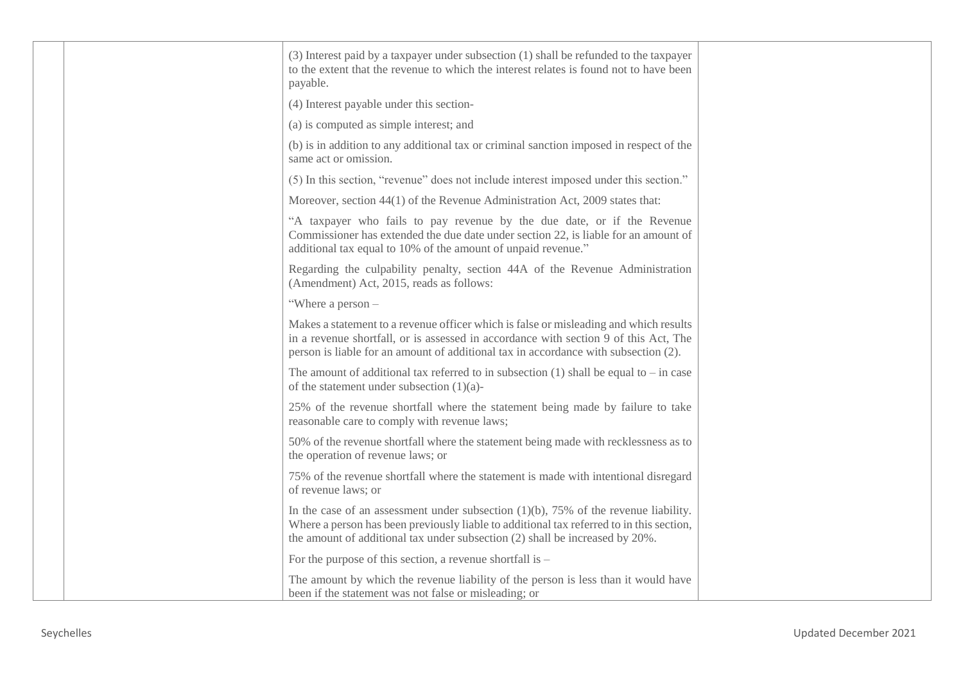|  | (3) Interest paid by a taxpayer under subsection (1) shall be refunded to the taxpayer<br>to the extent that the revenue to which the interest relates is found not to have been<br>payable.                                                                         |  |
|--|----------------------------------------------------------------------------------------------------------------------------------------------------------------------------------------------------------------------------------------------------------------------|--|
|  | (4) Interest payable under this section-                                                                                                                                                                                                                             |  |
|  | (a) is computed as simple interest; and                                                                                                                                                                                                                              |  |
|  | (b) is in addition to any additional tax or criminal sanction imposed in respect of the<br>same act or omission.                                                                                                                                                     |  |
|  | (5) In this section, "revenue" does not include interest imposed under this section."                                                                                                                                                                                |  |
|  | Moreover, section 44(1) of the Revenue Administration Act, 2009 states that:                                                                                                                                                                                         |  |
|  | "A taxpayer who fails to pay revenue by the due date, or if the Revenue<br>Commissioner has extended the due date under section 22, is liable for an amount of<br>additional tax equal to 10% of the amount of unpaid revenue."                                      |  |
|  | Regarding the culpability penalty, section 44A of the Revenue Administration<br>(Amendment) Act, 2015, reads as follows:                                                                                                                                             |  |
|  | "Where a person -                                                                                                                                                                                                                                                    |  |
|  | Makes a statement to a revenue officer which is false or misleading and which results<br>in a revenue shortfall, or is assessed in accordance with section 9 of this Act, The<br>person is liable for an amount of additional tax in accordance with subsection (2). |  |
|  | The amount of additional tax referred to in subsection (1) shall be equal to – in case<br>of the statement under subsection $(1)(a)$ -                                                                                                                               |  |
|  | 25% of the revenue shortfall where the statement being made by failure to take<br>reasonable care to comply with revenue laws;                                                                                                                                       |  |
|  | 50% of the revenue shortfall where the statement being made with recklessness as to<br>the operation of revenue laws; or                                                                                                                                             |  |
|  | 75% of the revenue shortfall where the statement is made with intentional disregard<br>of revenue laws; or                                                                                                                                                           |  |
|  | In the case of an assessment under subsection $(1)(b)$ , 75% of the revenue liability.<br>Where a person has been previously liable to additional tax referred to in this section,<br>the amount of additional tax under subsection (2) shall be increased by 20%.   |  |
|  | For the purpose of this section, a revenue shortfall is $-$                                                                                                                                                                                                          |  |
|  | The amount by which the revenue liability of the person is less than it would have<br>been if the statement was not false or misleading; or                                                                                                                          |  |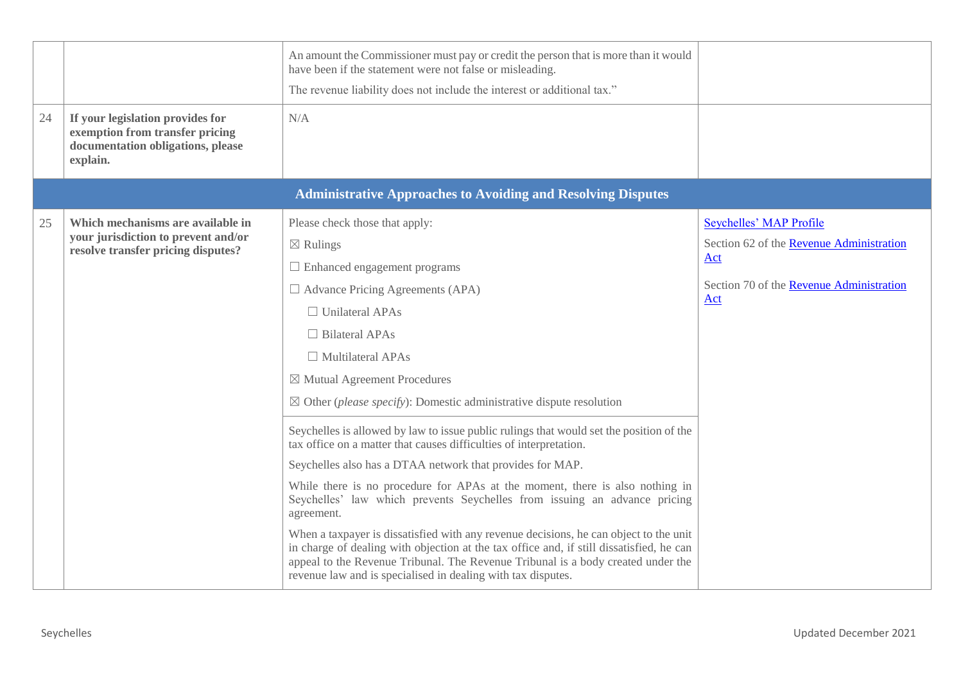| 24 | If your legislation provides for<br>exemption from transfer pricing<br>documentation obligations, please       | An amount the Commissioner must pay or credit the person that is more than it would<br>have been if the statement were not false or misleading.<br>The revenue liability does not include the interest or additional tax."<br>N/A                                                                                                                                                                                                                                                                                                                                                                                                                                                                                                                                                                                                                                                                                                                                                                                                                                                                              |                                                                                                                               |
|----|----------------------------------------------------------------------------------------------------------------|----------------------------------------------------------------------------------------------------------------------------------------------------------------------------------------------------------------------------------------------------------------------------------------------------------------------------------------------------------------------------------------------------------------------------------------------------------------------------------------------------------------------------------------------------------------------------------------------------------------------------------------------------------------------------------------------------------------------------------------------------------------------------------------------------------------------------------------------------------------------------------------------------------------------------------------------------------------------------------------------------------------------------------------------------------------------------------------------------------------|-------------------------------------------------------------------------------------------------------------------------------|
|    | explain.                                                                                                       |                                                                                                                                                                                                                                                                                                                                                                                                                                                                                                                                                                                                                                                                                                                                                                                                                                                                                                                                                                                                                                                                                                                |                                                                                                                               |
|    |                                                                                                                | <b>Administrative Approaches to Avoiding and Resolving Disputes</b>                                                                                                                                                                                                                                                                                                                                                                                                                                                                                                                                                                                                                                                                                                                                                                                                                                                                                                                                                                                                                                            |                                                                                                                               |
| 25 | Which mechanisms are available in<br>your jurisdiction to prevent and/or<br>resolve transfer pricing disputes? | Please check those that apply:<br>$\boxtimes$ Rulings<br>$\Box$ Enhanced engagement programs<br>$\Box$ Advance Pricing Agreements (APA)<br>$\Box$ Unilateral APAs<br>$\Box$ Bilateral APAs<br>$\Box$ Multilateral APAs<br>$\boxtimes$ Mutual Agreement Procedures<br>$\boxtimes$ Other ( <i>please specify</i> ): Domestic administrative dispute resolution<br>Seychelles is allowed by law to issue public rulings that would set the position of the<br>tax office on a matter that causes difficulties of interpretation.<br>Seychelles also has a DTAA network that provides for MAP.<br>While there is no procedure for APAs at the moment, there is also nothing in<br>Seychelles' law which prevents Seychelles from issuing an advance pricing<br>agreement.<br>When a taxpayer is dissatisfied with any revenue decisions, he can object to the unit<br>in charge of dealing with objection at the tax office and, if still dissatisfied, he can<br>appeal to the Revenue Tribunal. The Revenue Tribunal is a body created under the<br>revenue law and is specialised in dealing with tax disputes. | Seychelles' MAP Profile<br>Section 62 of the Revenue Administration<br>Act<br>Section 70 of the Revenue Administration<br>Act |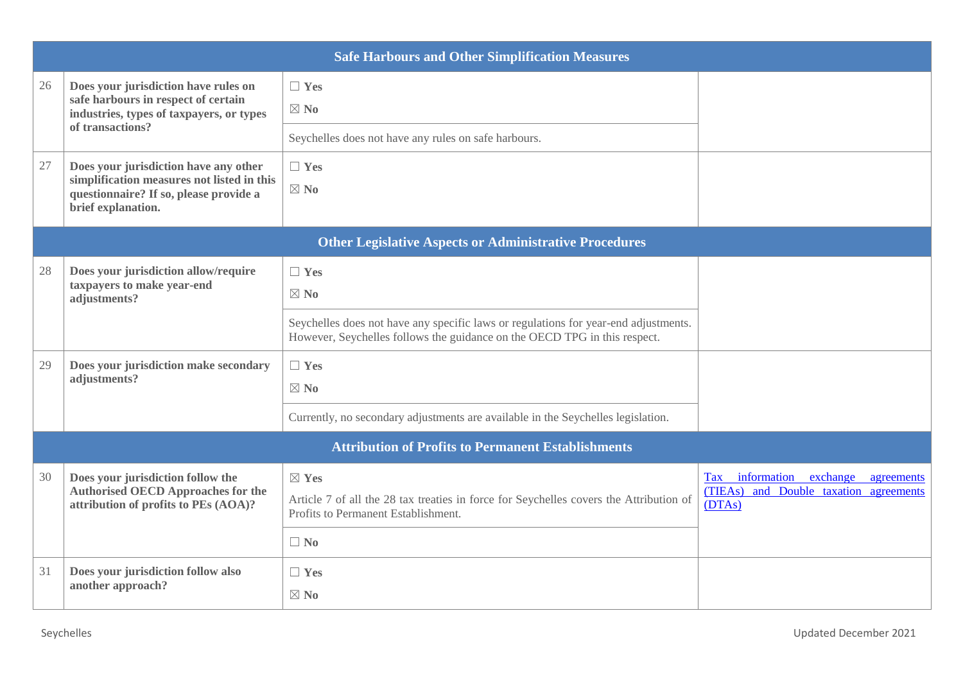|    |                                                                                                                                                     | <b>Safe Harbours and Other Simplification Measures</b>                                                                                                           |                                                                                              |
|----|-----------------------------------------------------------------------------------------------------------------------------------------------------|------------------------------------------------------------------------------------------------------------------------------------------------------------------|----------------------------------------------------------------------------------------------|
| 26 | Does your jurisdiction have rules on<br>safe harbours in respect of certain<br>industries, types of taxpayers, or types<br>of transactions?         | $\Box$ Yes<br>$\boxtimes$ No<br>Seychelles does not have any rules on safe harbours.                                                                             |                                                                                              |
| 27 | Does your jurisdiction have any other<br>simplification measures not listed in this<br>questionnaire? If so, please provide a<br>brief explanation. | $\Box$ Yes<br>$\boxtimes$ No                                                                                                                                     |                                                                                              |
|    |                                                                                                                                                     | <b>Other Legislative Aspects or Administrative Procedures</b>                                                                                                    |                                                                                              |
| 28 | Does your jurisdiction allow/require<br>taxpayers to make year-end<br>adjustments?                                                                  | $\Box$ Yes<br>$\boxtimes$ No                                                                                                                                     |                                                                                              |
|    |                                                                                                                                                     | Seychelles does not have any specific laws or regulations for year-end adjustments.<br>However, Seychelles follows the guidance on the OECD TPG in this respect. |                                                                                              |
| 29 | Does your jurisdiction make secondary<br>adjustments?                                                                                               | $\Box$ Yes<br>$\boxtimes$ No                                                                                                                                     |                                                                                              |
|    |                                                                                                                                                     | Currently, no secondary adjustments are available in the Seychelles legislation.                                                                                 |                                                                                              |
|    |                                                                                                                                                     | <b>Attribution of Profits to Permanent Establishments</b>                                                                                                        |                                                                                              |
| 30 | Does your jurisdiction follow the<br><b>Authorised OECD Approaches for the</b><br>attribution of profits to PEs (AOA)?                              | $\boxtimes$ Yes<br>Article 7 of all the 28 tax treaties in force for Seychelles covers the Attribution of<br>Profits to Permanent Establishment.                 | Tax information exchange<br>agreements<br>and Double taxation agreements<br>(TEAs)<br>(DTAs) |
|    |                                                                                                                                                     | $\Box$ No                                                                                                                                                        |                                                                                              |
| 31 | Does your jurisdiction follow also<br>another approach?                                                                                             | $\Box$ Yes<br>$\boxtimes$ No                                                                                                                                     |                                                                                              |
|    |                                                                                                                                                     |                                                                                                                                                                  |                                                                                              |